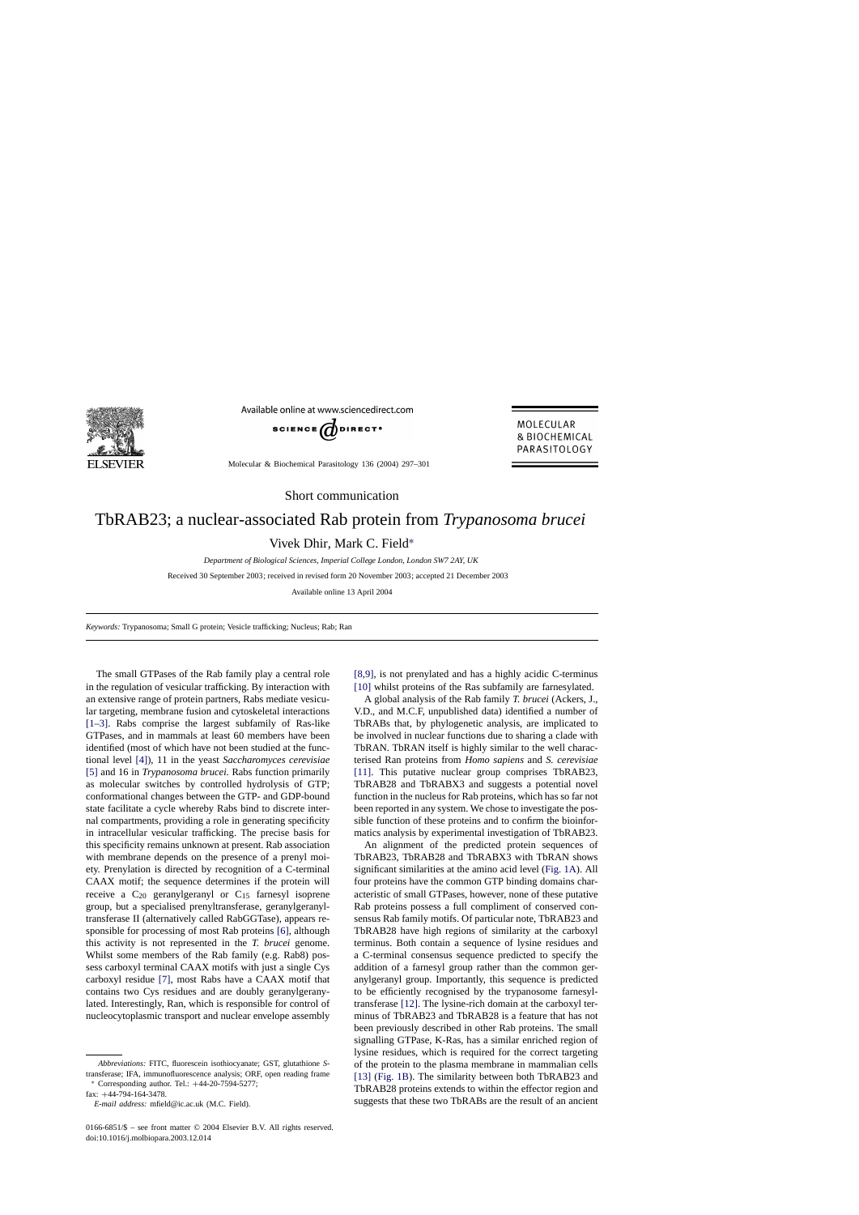

Available online at www.sciencedirect.com



Molecular & Biochemical Parasitology 136 (2004) 297–301

MOLECULAR & BIOCHEMICAL PARASITOLOGY

Short communication

## TbRAB23; a nuclear-associated Rab protein from *Trypanosoma brucei*

Vivek Dhir, Mark C. Field∗

*Department of Biological Sciences, Imperial College London, London SW7 2AY, UK*

Received 30 September 2003; received in revised form 20 November 2003; accepted 21 December 2003

Available online 13 April 2004

*Keywords:* Trypanosoma; Small G protein; Vesicle trafficking; Nucleus; Rab; Ran

The small GTPases of the Rab family play a central role in the regulation of vesicular trafficking. By interaction with an extensive range of protein partners, Rabs mediate vesicular targeting, membrane fusion and cytoskeletal interactions [\[1–3\].](#page-3-0) Rabs comprise the largest subfamily of Ras-like GTPases, and in mammals at least 60 members have been identified (most of which have not been studied at the functional level [\[4\]\),](#page-4-0) 11 in the yeast *Saccharomyces cerevisiae* [\[5\]](#page-4-0) and 16 in *Trypanosoma brucei*. Rabs function primarily as molecular switches by controlled hydrolysis of GTP; conformational changes between the GTP- and GDP-bound state facilitate a cycle whereby Rabs bind to discrete internal compartments, providing a role in generating specificity in intracellular vesicular trafficking. The precise basis for this specificity remains unknown at present. Rab association with membrane depends on the presence of a prenyl moiety. Prenylation is directed by recognition of a C-terminal CAAX motif; the sequence determines if the protein will receive a  $C_{20}$  geranylgeranyl or  $C_{15}$  farnesyl isoprene group, but a specialised prenyltransferase, geranylgeranyltransferase II (alternatively called RabGGTase), appears responsible for processing of most Rab proteins [\[6\],](#page-4-0) although this activity is not represented in the *T. brucei* genome. Whilst some members of the Rab family (e.g. Rab8) possess carboxyl terminal CAAX motifs with just a single Cys carboxyl residue [\[7\],](#page-4-0) most Rabs have a CAAX motif that contains two Cys residues and are doubly geranylgeranylated. Interestingly, Ran, which is responsible for control of nucleocytoplasmic transport and nuclear envelope assembly

*Abbreviations:* FITC, fluorescein isothiocyanate; GST, glutathione *S*transferase; IFA, immunofluorescence analysis; ORF, open reading frame <sup>∗</sup> Corresponding author. Tel.: +44-20-7594-5277;

fax: +44-794-164-3478.

*E-mail address:* mfield@ic.ac.uk (M.C. Field).

0166-6851/\$ – see front matter © 2004 Elsevier B.V. All rights reserved. doi:10.1016/j.molbiopara.2003.12.014

[\[8,9\],](#page-4-0) is not prenylated and has a highly acidic C-terminus [\[10\]](#page-4-0) whilst proteins of the Ras subfamily are farnesylated.

A global analysis of the Rab family *T. brucei* (Ackers, J., V.D., and M.C.F, unpublished data) identified a number of TbRABs that, by phylogenetic analysis, are implicated to be involved in nuclear functions due to sharing a clade with TbRAN. TbRAN itself is highly similar to the well characterised Ran proteins from *Homo sapiens* and *S. cerevisiae* [\[11\].](#page-4-0) This putative nuclear group comprises TbRAB23, TbRAB28 and TbRABX3 and suggests a potential novel function in the nucleus for Rab proteins, which has so far not been reported in any system. We chose to investigate the possible function of these proteins and to confirm the bioinformatics analysis by experimental investigation of TbRAB23.

An alignment of the predicted protein sequences of TbRAB23, TbRAB28 and TbRABX3 with TbRAN shows significant similarities at the amino acid level ([Fig. 1A\).](#page-1-0) All four proteins have the common GTP binding domains characteristic of small GTPases, however, none of these putative Rab proteins possess a full compliment of conserved consensus Rab family motifs. Of particular note, TbRAB23 and TbRAB28 have high regions of similarity at the carboxyl terminus. Both contain a sequence of lysine residues and a C-terminal consensus sequence predicted to specify the addition of a farnesyl group rather than the common geranylgeranyl group. Importantly, this sequence is predicted to be efficiently recognised by the trypanosome farnesyltransferase [\[12\]. T](#page-4-0)he lysine-rich domain at the carboxyl terminus of TbRAB23 and TbRAB28 is a feature that has not been previously described in other Rab proteins. The small signalling GTPase, K-Ras, has a similar enriched region of lysine residues, which is required for the correct targeting of the protein to the plasma membrane in mammalian cells [\[13\]](#page-4-0) [\(Fig. 1B\).](#page-1-0) The similarity between both TbRAB23 and TbRAB28 proteins extends to within the effector region and suggests that these two TbRABs are the result of an ancient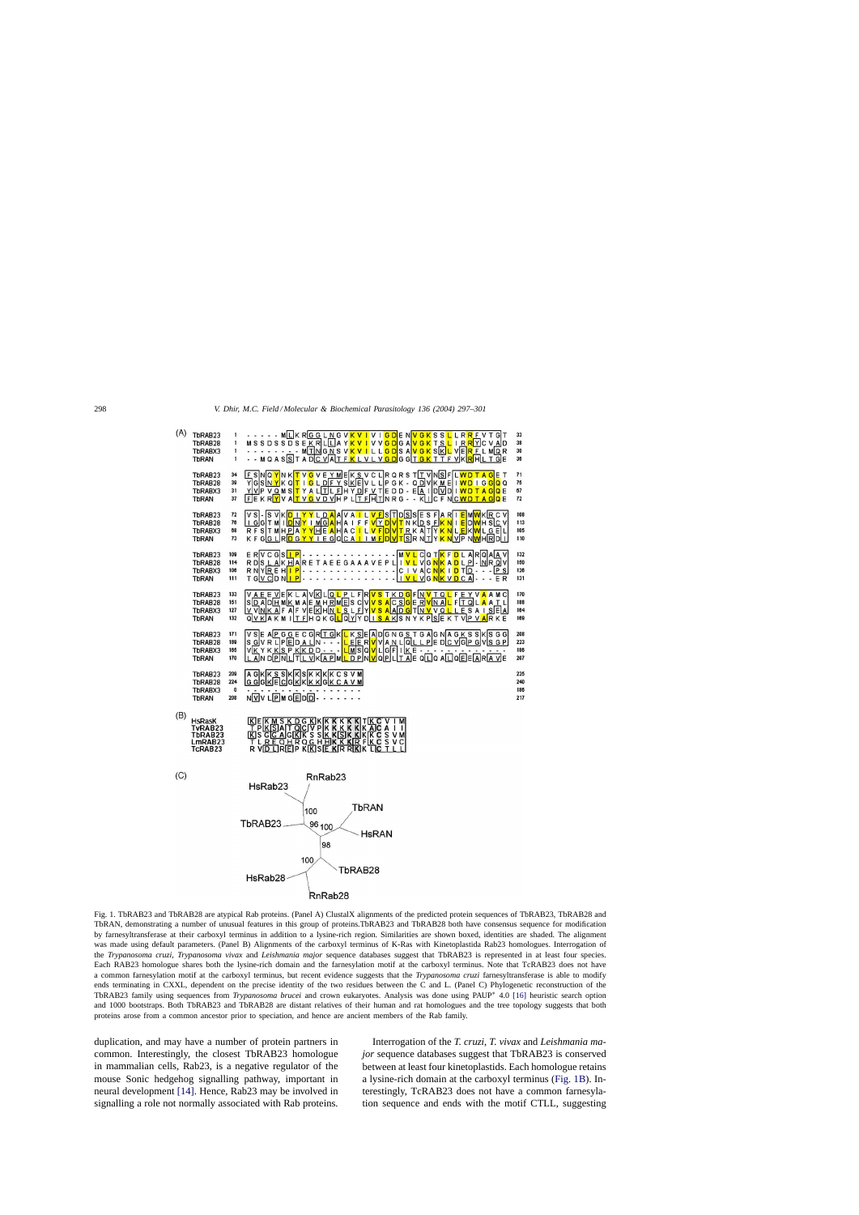

<span id="page-1-0"></span>

Fig. 1. TbRAB23 and TbRAB28 are atypical Rab proteins. (Panel A) ClustalX alignments of the predicted protein sequences of TbRAB23, TbRAB28 and TbRAN, demonstrating a number of unusual features in this group of proteins.TbRAB23 and TbRAB28 both have consensus sequence for modification by farnesyltransferase at their carboxyl terminus in addition to a lysine-rich region. Similarities are shown boxed, identities are shaded. The alignment was made using default parameters. (Panel B) Alignments of the carboxyl terminus of K-Ras with Kinetoplastida Rab23 homologues. Interrogation of the *Trypanosoma cruzi*, *Trypanosoma vivax* and *Leishmania major* sequence databases suggest that TbRAB23 is represented in at least four species. Each RAB23 homologue shares both the lysine-rich domain and the farnesylation motif at the carboxyl terminus. Note that TcRAB23 does not have a common farnesylation motif at the carboxyl terminus, but recent evidence suggests that the *Trypanosoma cruzi* farnesyltransferase is able to modify ends terminating in CXXL, dependent on the precise identity of the two residues between the C and L. (Panel C) Phylogenetic reconstruction of the TbRAB23 family using sequences from *Trypanosoma brucei* and crown eukaryotes. Analysis was done using PAUP∗ 4.0 [\[16\]](#page-4-0) heuristic search option and 1000 bootstraps. Both TbRAB23 and TbRAB28 are distant relatives of their human and rat homologues and the tree topology suggests that both proteins arose from a common ancestor prior to speciation, and hence are ancient members of the Rab family.

duplication, and may have a number of protein partners in common. Interestingly, the closest TbRAB23 homologue in mammalian cells, Rab23, is a negative regulator of the mouse Sonic hedgehog signalling pathway, important in neural development [\[14\].](#page-4-0) Hence, Rab23 may be involved in signalling a role not normally associated with Rab proteins.

Interrogation of the *T. cruzi*, *T. vivax* and *Leishmania major* sequence databases suggest that TbRAB23 is conserved between at least four kinetoplastids. Each homologue retains a lysine-rich domain at the carboxyl terminus (Fig. 1B). Interestingly, TcRAB23 does not have a common farnesylation sequence and ends with the motif CTLL, suggesting

108

113

105

110

 $132$ 

150

126

170

188

164

169

186

186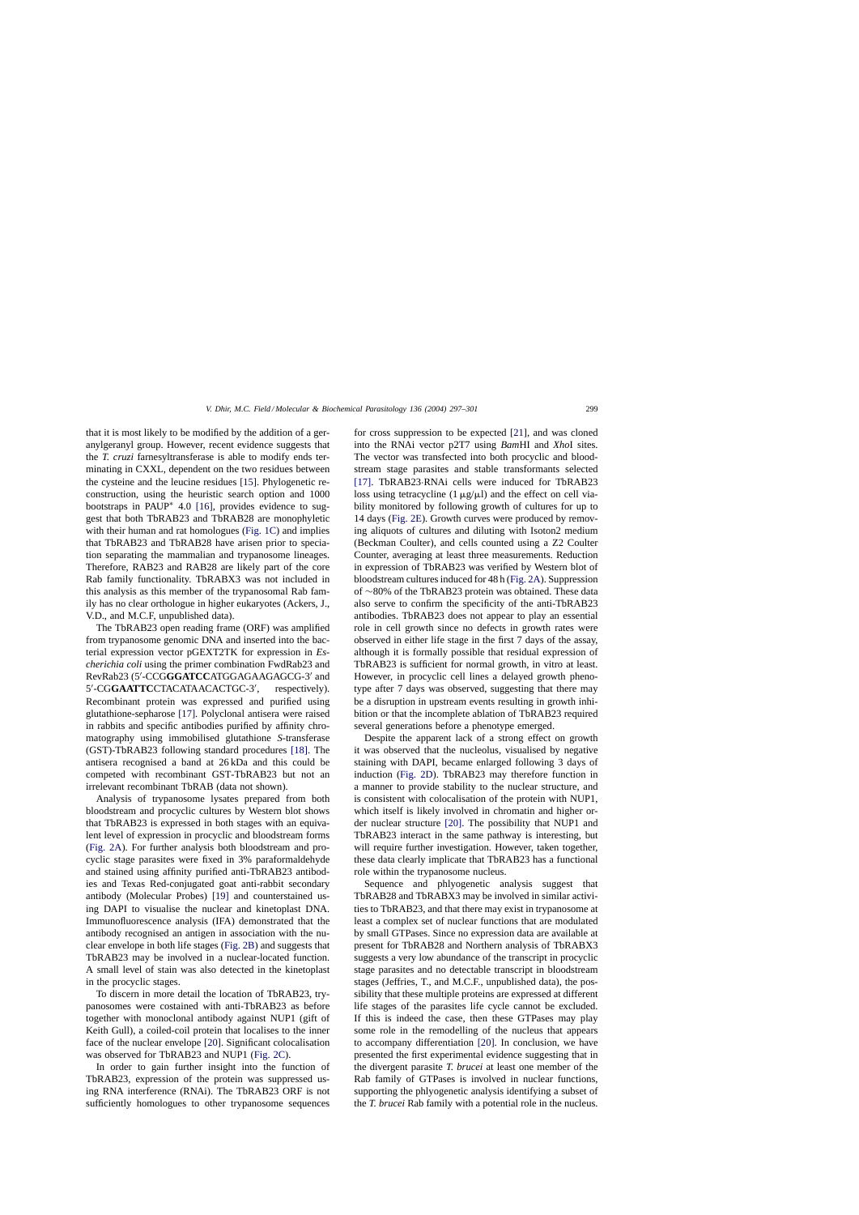that it is most likely to be modified by the addition of a geranylgeranyl group. However, recent evidence suggests that the *T. cruzi* farnesyltransferase is able to modify ends terminating in CXXL, dependent on the two residues between the cysteine and the leucine residues [\[15\].](#page-4-0) Phylogenetic reconstruction, using the heuristic search option and 1000 bootstraps in PAUP∗ 4.0 [\[16\],](#page-4-0) provides evidence to suggest that both TbRAB23 and TbRAB28 are monophyletic with their human and rat homologues ([Fig. 1C\)](#page-1-0) and implies that TbRAB23 and TbRAB28 have arisen prior to speciation separating the mammalian and trypanosome lineages. Therefore, RAB23 and RAB28 are likely part of the core Rab family functionality. TbRABX3 was not included in this analysis as this member of the trypanosomal Rab family has no clear orthologue in higher eukaryotes (Ackers, J., V.D., and M.C.F, unpublished data).

The TbRAB23 open reading frame (ORF) was amplified from trypanosome genomic DNA and inserted into the bacterial expression vector pGEXT2TK for expression in *Escherichia coli* using the primer combination FwdRab23 and RevRab23 (5'-CCGGGATCCATGGAGAAGAGCG-3' and 5 -CG**GAATTC**CTACATAACACTGC-3 respectively). Recombinant protein was expressed and purified using glutathione-sepharose [\[17\].](#page-4-0) Polyclonal antisera were raised in rabbits and specific antibodies purified by affinity chromatography using immobilised glutathione *S*-transferase (GST)-TbRAB23 following standard procedures [\[18\].](#page-4-0) The antisera recognised a band at 26 kDa and this could be competed with recombinant GST-TbRAB23 but not an irrelevant recombinant TbRAB (data not shown).

Analysis of trypanosome lysates prepared from both bloodstream and procyclic cultures by Western blot shows that TbRAB23 is expressed in both stages with an equivalent level of expression in procyclic and bloodstream forms ([Fig. 2A\).](#page-3-0) For further analysis both bloodstream and procyclic stage parasites were fixed in 3% paraformaldehyde and stained using affinity purified anti-TbRAB23 antibodies and Texas Red-conjugated goat anti-rabbit secondary antibody (Molecular Probes) [\[19\]](#page-4-0) and counterstained using DAPI to visualise the nuclear and kinetoplast DNA. Immunofluorescence analysis (IFA) demonstrated that the antibody recognised an antigen in association with the nuclear envelope in both life stages ([Fig. 2B\)](#page-3-0) and suggests that TbRAB23 may be involved in a nuclear-located function. A small level of stain was also detected in the kinetoplast in the procyclic stages.

To discern in more detail the location of TbRAB23, trypanosomes were costained with anti-TbRAB23 as before together with monoclonal antibody against NUP1 (gift of Keith Gull), a coiled-coil protein that localises to the inner face of the nuclear envelope [\[20\].](#page-4-0) Significant colocalisation was observed for TbRAB23 and NUP1 [\(Fig. 2C\).](#page-3-0)

In order to gain further insight into the function of TbRAB23, expression of the protein was suppressed using RNA interference (RNAi). The TbRAB23 ORF is not sufficiently homologues to other trypanosome sequences

for cross suppression to be expected [\[21\],](#page-4-0) and was cloned into the RNAi vector p2T7 using *Bam*HI and *Xho*I sites. The vector was transfected into both procyclic and bloodstream stage parasites and stable transformants selected [\[17\].](#page-4-0) TbRAB23·RNAi cells were induced for TbRAB23 loss using tetracycline  $(1 \mu g/\mu l)$  and the effect on cell viability monitored by following growth of cultures for up to 14 days [\(Fig. 2E\).](#page-3-0) Growth curves were produced by removing aliquots of cultures and diluting with Isoton2 medium (Beckman Coulter), and cells counted using a Z2 Coulter Counter, averaging at least three measurements. Reduction in expression of TbRAB23 was verified by Western blot of bloodstream cultures induced for 48 h [\(Fig. 2A\).](#page-3-0) Suppression of ∼80% of the TbRAB23 protein was obtained. These data also serve to confirm the specificity of the anti-TbRAB23 antibodies. TbRAB23 does not appear to play an essential role in cell growth since no defects in growth rates were observed in either life stage in the first 7 days of the assay, although it is formally possible that residual expression of TbRAB23 is sufficient for normal growth, in vitro at least. However, in procyclic cell lines a delayed growth phenotype after 7 days was observed, suggesting that there may be a disruption in upstream events resulting in growth inhibition or that the incomplete ablation of TbRAB23 required several generations before a phenotype emerged.

Despite the apparent lack of a strong effect on growth it was observed that the nucleolus, visualised by negative staining with DAPI, became enlarged following 3 days of induction [\(Fig. 2D\).](#page-3-0) TbRAB23 may therefore function in a manner to provide stability to the nuclear structure, and is consistent with colocalisation of the protein with NUP1, which itself is likely involved in chromatin and higher order nuclear structure [\[20\].](#page-4-0) The possibility that NUP1 and TbRAB23 interact in the same pathway is interesting, but will require further investigation. However, taken together, these data clearly implicate that TbRAB23 has a functional role within the trypanosome nucleus.

Sequence and phlyogenetic analysis suggest that TbRAB28 and TbRABX3 may be involved in similar activities to TbRAB23, and that there may exist in trypanosome at least a complex set of nuclear functions that are modulated by small GTPases. Since no expression data are available at present for TbRAB28 and Northern analysis of TbRABX3 suggests a very low abundance of the transcript in procyclic stage parasites and no detectable transcript in bloodstream stages (Jeffries, T., and M.C.F., unpublished data), the possibility that these multiple proteins are expressed at different life stages of the parasites life cycle cannot be excluded. If this is indeed the case, then these GTPases may play some role in the remodelling of the nucleus that appears to accompany differentiation [\[20\].](#page-4-0) In conclusion, we have presented the first experimental evidence suggesting that in the divergent parasite *T. brucei* at least one member of the Rab family of GTPases is involved in nuclear functions, supporting the phlyogenetic analysis identifying a subset of the *T. brucei* Rab family with a potential role in the nucleus.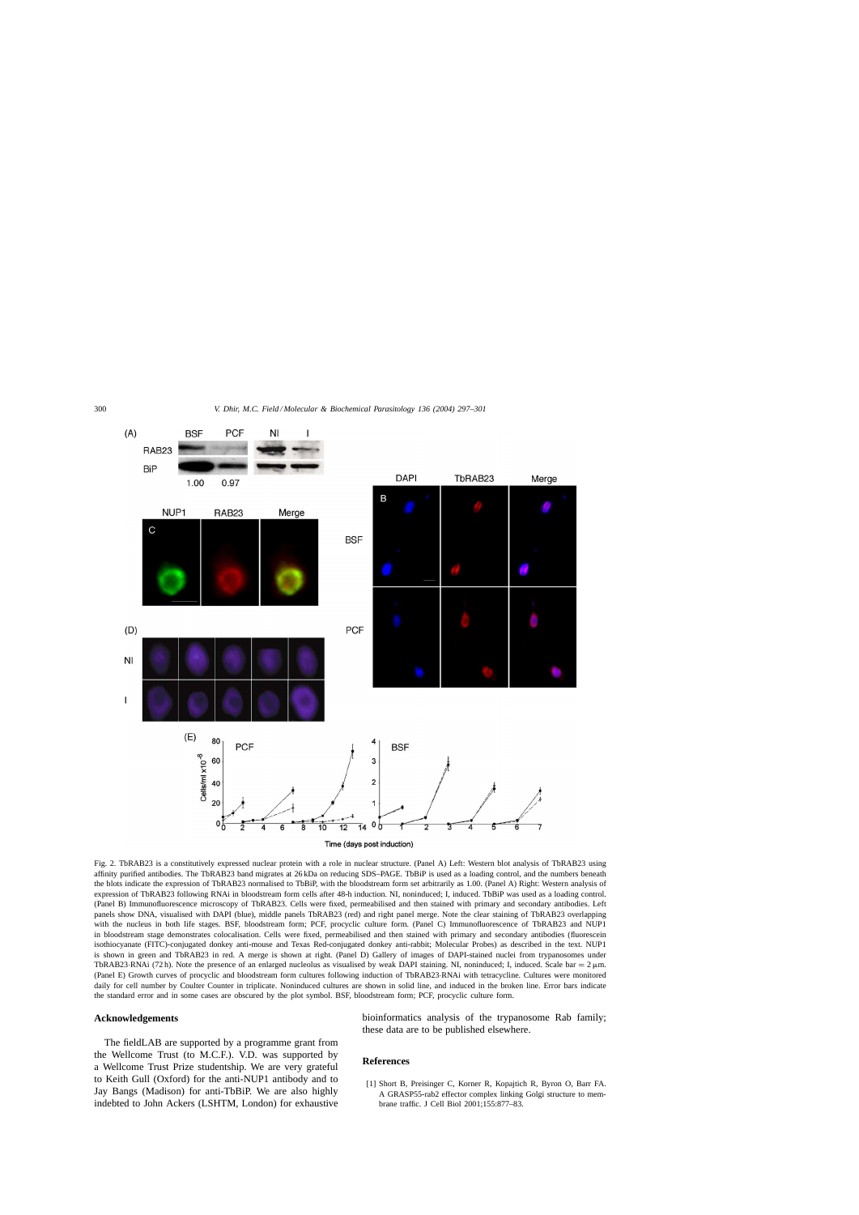<span id="page-3-0"></span>

Fig. 2. TbRAB23 is a constitutively expressed nuclear protein with a role in nuclear structure. (Panel A) Left: Western blot analysis of TbRAB23 using affinity purified antibodies. The TbRAB23 band migrates at 26 kDa on reducing SDS–PAGE. TbBiP is used as a loading control, and the numbers beneath the blots indicate the expression of TbRAB23 normalised to TbBiP, with the bloodstream form set arbitrarily as 1.00. (Panel A) Right: Western analysis of expression of TbRAB23 following RNAi in bloodstream form cells after 48-h induction. NI, noninduced; I, induced. TbBiP was used as a loading control. (Panel B) Immunofluorescence microscopy of TbRAB23. Cells were fixed, permeabilised and then stained with primary and secondary antibodies. Left panels show DNA, visualised with DAPI (blue), middle panels TbRAB23 (red) and right panel merge. Note the clear staining of TbRAB23 overlapping with the nucleus in both life stages. BSF, bloodstream form; PCF, procyclic culture form. (Panel C) Immunofluorescence of TbRAB23 and NUP1 in bloodstream stage demonstrates colocalisation. Cells were fixed, permeabilised and then stained with primary and secondary antibodies (fluorescein isothiocyanate (FITC)-conjugated donkey anti-mouse and Texas Red-conjugated donkey anti-rabbit; Molecular Probes) as described in the text. NUP1 is shown in green and TbRAB23 in red. A merge is shown at right. (Panel D) Gallery of images of DAPI-stained nuclei from trypanosomes under TbRAB23·RNAi (72 h). Note the presence of an enlarged nucleolus as visualised by weak DAPI staining. NI, noninduced; I, induced. Scale bar = 2  $\mu$ m. (Panel E) Growth curves of procyclic and bloodstream form cultures following induction of TbRAB23·RNAi with tetracycline. Cultures were monitored daily for cell number by Coulter Counter in triplicate. Noninduced cultures are shown in solid line, and induced in the broken line. Error bars indicate the standard error and in some cases are obscured by the plot symbol. BSF, bloodstream form; PCF, procyclic culture form.

## **Acknowledgements**

The fieldLAB are supported by a programme grant from the Wellcome Trust (to M.C.F.). V.D. was supported by a Wellcome Trust Prize studentship. We are very grateful to Keith Gull (Oxford) for the anti-NUP1 antibody and to Jay Bangs (Madison) for anti-TbBiP. We are also highly indebted to John Ackers (LSHTM, London) for exhaustive bioinformatics analysis of the trypanosome Rab family; these data are to be published elsewhere.

## **References**

[1] Short B, Preisinger C, Korner R, Kopajtich R, Byron O, Barr FA. A GRASP55-rab2 effector complex linking Golgi structure to membrane traffic. J Cell Biol 2001;155:877–83.